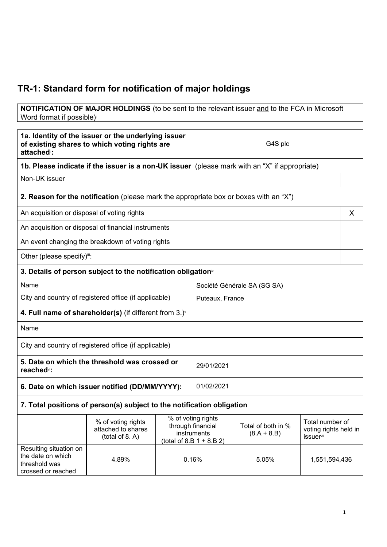## **TR-1: Standard form for notification of major holdings**

**NOTIFICATION OF MAJOR HOLDINGS** (to be sent to the relevant issuer and to the FCA in Microsoft Word format if possible)

| 1a. Identity of the issuer or the underlying issuer<br>of existing shares to which voting rights are<br>attached <sup>®</sup> : |                                                                                               |                                                                                       | G4S plc                     |                                     |                                                       |   |
|---------------------------------------------------------------------------------------------------------------------------------|-----------------------------------------------------------------------------------------------|---------------------------------------------------------------------------------------|-----------------------------|-------------------------------------|-------------------------------------------------------|---|
|                                                                                                                                 | 1b. Please indicate if the issuer is a non-UK issuer (please mark with an "X" if appropriate) |                                                                                       |                             |                                     |                                                       |   |
| Non-UK issuer                                                                                                                   |                                                                                               |                                                                                       |                             |                                     |                                                       |   |
|                                                                                                                                 | <b>2. Reason for the notification</b> (please mark the appropriate box or boxes with an "X")  |                                                                                       |                             |                                     |                                                       |   |
| An acquisition or disposal of voting rights                                                                                     |                                                                                               |                                                                                       |                             |                                     |                                                       | X |
|                                                                                                                                 | An acquisition or disposal of financial instruments                                           |                                                                                       |                             |                                     |                                                       |   |
|                                                                                                                                 | An event changing the breakdown of voting rights                                              |                                                                                       |                             |                                     |                                                       |   |
| Other (please specify)iii:                                                                                                      |                                                                                               |                                                                                       |                             |                                     |                                                       |   |
| 3. Details of person subject to the notification obligation <sup>®</sup>                                                        |                                                                                               |                                                                                       |                             |                                     |                                                       |   |
| Name                                                                                                                            |                                                                                               |                                                                                       | Société Générale SA (SG SA) |                                     |                                                       |   |
| City and country of registered office (if applicable)                                                                           |                                                                                               |                                                                                       | Puteaux, France             |                                     |                                                       |   |
| 4. Full name of shareholder(s) (if different from $3.$ )                                                                        |                                                                                               |                                                                                       |                             |                                     |                                                       |   |
| Name                                                                                                                            |                                                                                               |                                                                                       |                             |                                     |                                                       |   |
| City and country of registered office (if applicable)                                                                           |                                                                                               |                                                                                       |                             |                                     |                                                       |   |
| 5. Date on which the threshold was crossed or<br>reached <sup>vi</sup> :                                                        |                                                                                               |                                                                                       | 29/01/2021                  |                                     |                                                       |   |
| 6. Date on which issuer notified (DD/MM/YYYY):                                                                                  |                                                                                               |                                                                                       | 01/02/2021                  |                                     |                                                       |   |
| 7. Total positions of person(s) subject to the notification obligation                                                          |                                                                                               |                                                                                       |                             |                                     |                                                       |   |
|                                                                                                                                 | % of voting rights<br>attached to shares<br>(total of 8. A)                                   | % of voting rights<br>through financial<br>instruments<br>(total of 8.B $1 + 8.B 2$ ) |                             | Total of both in %<br>$(8.A + 8.B)$ | Total number of<br>voting rights held in<br>issuervii |   |
| Resulting situation on<br>the date on which<br>threshold was<br>crossed or reached                                              | 4.89%                                                                                         |                                                                                       | 0.16%                       | 5.05%                               | 1,551,594,436                                         |   |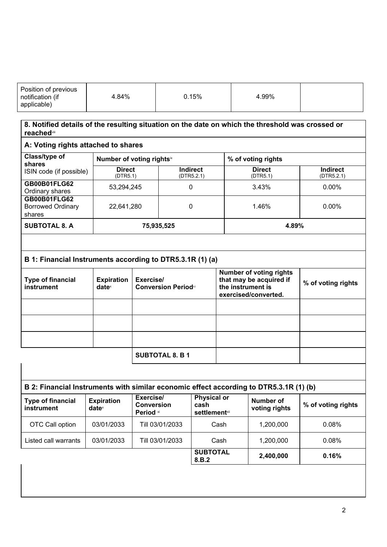|  | Position of previous<br>notification (if<br>applicable) | 4.84% | $0.15\%$ | 4.99% |  |
|--|---------------------------------------------------------|-------|----------|-------|--|
|--|---------------------------------------------------------|-------|----------|-------|--|

| 8. Notified details of the resulting situation on the date on which the threshold was crossed or<br><b>reached</b> viii |                                        |                                            |                                                     |                                                                                                        |                                   |                               |  |
|-------------------------------------------------------------------------------------------------------------------------|----------------------------------------|--------------------------------------------|-----------------------------------------------------|--------------------------------------------------------------------------------------------------------|-----------------------------------|-------------------------------|--|
| A: Voting rights attached to shares                                                                                     |                                        |                                            |                                                     |                                                                                                        |                                   |                               |  |
| Class/type of<br>shares                                                                                                 |                                        | Number of voting rightsix                  |                                                     |                                                                                                        | % of voting rights                |                               |  |
| ISIN code (if possible)                                                                                                 | <b>Direct</b><br>(DTR5.1)              |                                            | <b>Indirect</b><br>(DTR5.2.1)                       |                                                                                                        | <b>Direct</b><br>(DTR5.1)         | <b>Indirect</b><br>(DTR5.2.1) |  |
| <b>GB00B01FLG62</b><br>Ordinary shares                                                                                  | 53,294,245                             |                                            | $\mathbf 0$                                         |                                                                                                        | 3.43%                             | 0.00%                         |  |
| <b>GB00B01FLG62</b><br><b>Borrowed Ordinary</b><br>shares                                                               | 22,641,280                             |                                            | $\mathbf 0$                                         |                                                                                                        | 1.46%                             | 0.00%                         |  |
| <b>SUBTOTAL 8. A</b>                                                                                                    |                                        | 75,935,525                                 |                                                     |                                                                                                        | 4.89%                             |                               |  |
|                                                                                                                         |                                        |                                            |                                                     |                                                                                                        |                                   |                               |  |
| B 1: Financial Instruments according to DTR5.3.1R (1) (a)                                                               |                                        |                                            |                                                     |                                                                                                        |                                   |                               |  |
| <b>Type of financial</b><br>instrument                                                                                  | <b>Expiration</b><br>date <sup>x</sup> | Exercise/<br><b>Conversion Periodxi</b>    |                                                     | <b>Number of voting rights</b><br>that may be acquired if<br>the instrument is<br>exercised/converted. |                                   | % of voting rights            |  |
|                                                                                                                         |                                        |                                            |                                                     |                                                                                                        |                                   |                               |  |
|                                                                                                                         |                                        |                                            |                                                     |                                                                                                        |                                   |                               |  |
|                                                                                                                         |                                        |                                            |                                                     |                                                                                                        |                                   |                               |  |
|                                                                                                                         | <b>SUBTOTAL 8. B 1</b>                 |                                            |                                                     |                                                                                                        |                                   |                               |  |
|                                                                                                                         |                                        |                                            |                                                     |                                                                                                        |                                   |                               |  |
| B 2: Financial Instruments with similar economic effect according to DTR5.3.1R (1) (b)                                  |                                        |                                            |                                                     |                                                                                                        |                                   |                               |  |
| <b>Type of financial</b><br>instrument                                                                                  | <b>Expiration</b><br>date <sup>x</sup> | Exercise/<br><b>Conversion</b><br>Period * | <b>Physical or</b><br>cash<br><b>settlement</b> xii |                                                                                                        | <b>Number of</b><br>voting rights | % of voting rights            |  |
| OTC Call option                                                                                                         | 03/01/2033                             | Till 03/01/2033                            |                                                     | Cash                                                                                                   | 1,200,000                         | 0.08%                         |  |

Listed call warrants | 03/01/2033 | Till 03/01/2033 | Cash | 1,200,000 | 0.08%

**SUBTOTAL 8.B.2**

**2,400,000 0.16%**